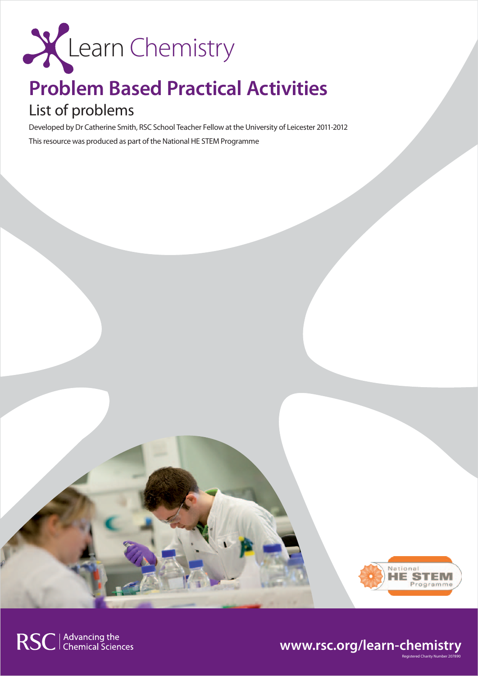

# **Problem Based Practical Activities**

## List of problems

Developed by Dr Catherine Smith, RSC School Teacher Fellow at the University of Leicester 2011-2012 This resource was produced as part of the National HE STEM Programme



Registered Charity Number 207890

### **www.rsc.org/learn-chemistry**

RSC | Advancing the<br>
Chemical Sciences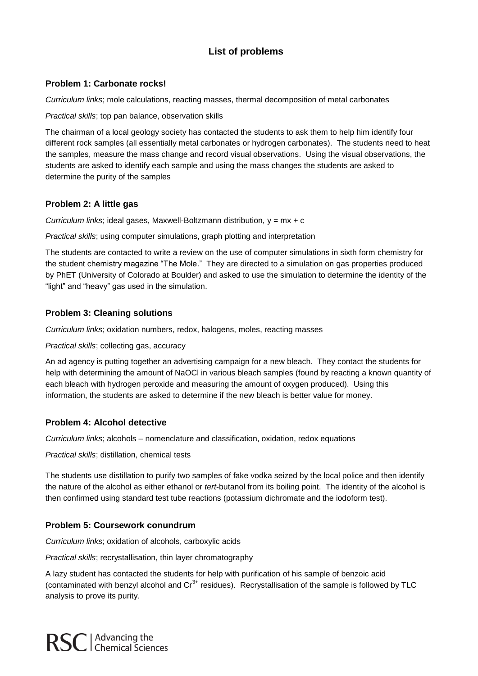### **List of problems**

#### **Problem 1: Carbonate rocks!**

*Curriculum links*; mole calculations, reacting masses, thermal decomposition of metal carbonates

*Practical skills*; top pan balance, observation skills

The chairman of a local geology society has contacted the students to ask them to help him identify four different rock samples (all essentially metal carbonates or hydrogen carbonates). The students need to heat the samples, measure the mass change and record visual observations. Using the visual observations, the students are asked to identify each sample and using the mass changes the students are asked to determine the purity of the samples

#### **Problem 2: A little gas**

*Curriculum links*; ideal gases, Maxwell-Boltzmann distribution, y = mx + c

*Practical skills*; using computer simulations, graph plotting and interpretation

The students are contacted to write a review on the use of computer simulations in sixth form chemistry for the student chemistry magazine "The Mole." They are directed to a simulation on gas properties produced by PhET (University of Colorado at Boulder) and asked to use the simulation to determine the identity of the "light" and "heavy" gas used in the simulation.

#### **Problem 3: Cleaning solutions**

*Curriculum links*; oxidation numbers, redox, halogens, moles, reacting masses

*Practical skills*; collecting gas, accuracy

An ad agency is putting together an advertising campaign for a new bleach. They contact the students for help with determining the amount of NaOCl in various bleach samples (found by reacting a known quantity of each bleach with hydrogen peroxide and measuring the amount of oxygen produced). Using this information, the students are asked to determine if the new bleach is better value for money.

#### **Problem 4: Alcohol detective**

*Curriculum links*; alcohols – nomenclature and classification, oxidation, redox equations

*Practical skills*; distillation, chemical tests

The students use distillation to purify two samples of fake vodka seized by the local police and then identify the nature of the alcohol as either ethanol or *tert*-butanol from its boiling point. The identity of the alcohol is then confirmed using standard test tube reactions (potassium dichromate and the iodoform test).

#### **Problem 5: Coursework conundrum**

*Curriculum links*; oxidation of alcohols, carboxylic acids

*Practical skills*; recrystallisation, thin layer chromatography

A lazy student has contacted the students for help with purification of his sample of benzoic acid (contaminated with benzyl alcohol and  $Cr^{3+}$  residues). Recrystallisation of the sample is followed by TLC analysis to prove its purity.

**RSC** | Advancing the